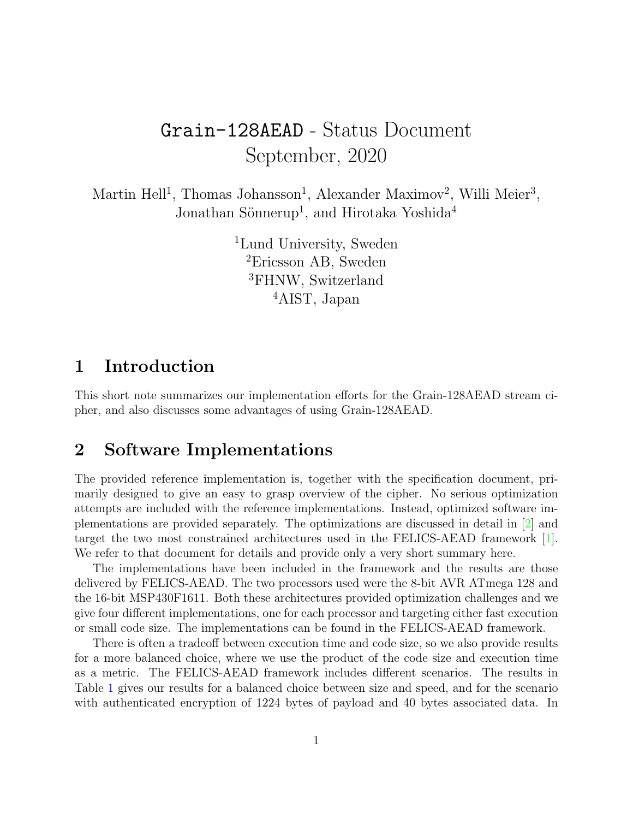# Grain-128AEAD - Status Document September, 2020

Martin Hell<sup>1</sup>, Thomas Johansson<sup>1</sup>, Alexander Maximov<sup>2</sup>, Willi Meier<sup>3</sup>, Jonathan Sönnerup<sup>1</sup>, and Hirotaka Yoshida<sup>4</sup>

> <sup>1</sup>Lund University, Sweden Ericsson AB, Sweden FHNW, Switzerland AIST, Japan

### 1 Introduction

This short note summarizes our implementation efforts for the Grain-128AEAD stream cipher, and also discusses some advantages of using Grain-128AEAD.

### 2 Software Implementations

The provided reference implementation is, together with the specification document, primarily designed to give an easy to grasp overview of the cipher. No serious optimization attempts are included with the reference implementations. Instead, optimized software implementations are provided separately. The optimizations are discussed in detail in [\[2\]](#page-4-0) and target the two most constrained architectures used in the FELICS-AEAD framework [\[1\]](#page-4-1). We refer to that document for details and provide only a very short summary here.

The implementations have been included in the framework and the results are those delivered by FELICS-AEAD. The two processors used were the 8-bit AVR ATmega 128 and the 16-bit MSP430F1611. Both these architectures provided optimization challenges and we give four different implementations, one for each processor and targeting either fast execution or small code size. The implementations can be found in the FELICS-AEAD framework.

There is often a tradeoff between execution time and code size, so we also provide results for a more balanced choice, where we use the product of the code size and execution time as a metric. The FELICS-AEAD framework includes different scenarios. The results in Table [1](#page-1-0) gives our results for a balanced choice between size and speed, and for the scenario with authenticated encryption of 1224 bytes of payload and 40 bytes associated data. In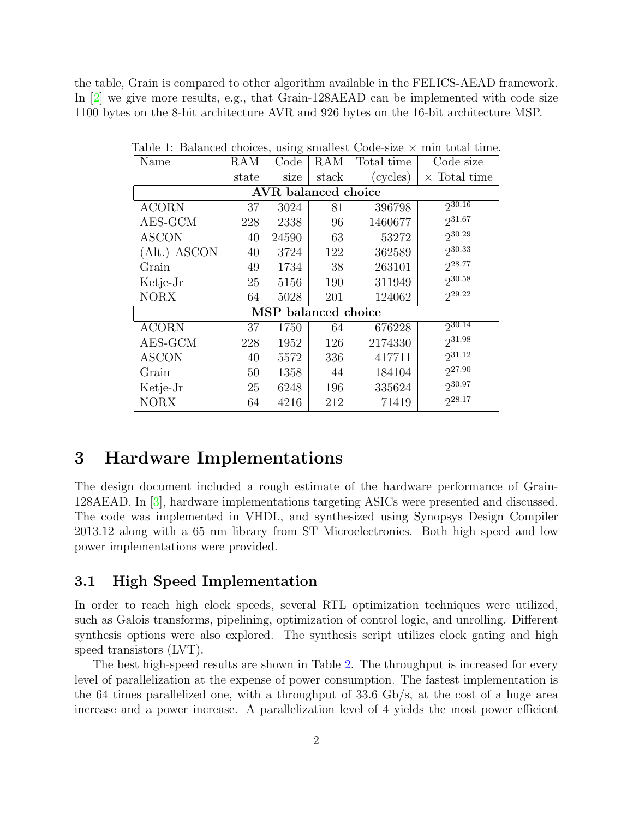the table, Grain is compared to other algorithm available in the FELICS-AEAD framework. In [\[2\]](#page-4-0) we give more results, e.g., that Grain-128AEAD can be implemented with code size 1100 bytes on the 8-bit architecture AVR and 926 bytes on the 16-bit architecture MSP.

| Name                       | RAM   | Code  | RAM   | Total time | Code size           |  |
|----------------------------|-------|-------|-------|------------|---------------------|--|
|                            | state | size  | stack | (cycles)   | $\times$ Total time |  |
| <b>AVR</b> balanced choice |       |       |       |            |                     |  |
| <b>ACORN</b>               | 37    | 3024  | 81    | 396798     | $2^{30.16}$         |  |
| AES-GCM                    | 228   | 2338  | 96    | 1460677    | 231.67              |  |
| <b>ASCON</b>               | 40    | 24590 | 63    | 53272      | 230.29              |  |
| (Alt.) ASCON               | 40    | 3724  | 122   | 362589     | $2^{30.33}$         |  |
| Grain                      | 49    | 1734  | 38    | 263101     | 228.77              |  |
| Ketje-Jr                   | 25    | 5156  | 190   | 311949     | $2^{30.58}$         |  |
| <b>NORX</b>                | 64    | 5028  | 201   | 124062     | 229.22              |  |
| MSP balanced choice        |       |       |       |            |                     |  |
| <b>ACORN</b>               | 37    | 1750  | 64    | 676228     | $2^{30.14}$         |  |
| AES-GCM                    | 228   | 1952  | 126   | 2174330    | 231.98              |  |
| <b>ASCON</b>               | 40    | 5572  | 336   | 417711     | $2^{31.12}$         |  |
| Grain                      | 50    | 1358  | 44    | 184104     | 227.90              |  |
| Ketje-Jr                   | 25    | 6248  | 196   | 335624     | 230.97              |  |
| <b>NORX</b>                | 64    | 4216  | 212   | 71419      | 228.17              |  |

<span id="page-1-0"></span>Table 1: Balanced choices, using smallest Code-size  $\times$  min total time.

### 3 Hardware Implementations

The design document included a rough estimate of the hardware performance of Grain-128AEAD. In [\[3\]](#page-4-2), hardware implementations targeting ASICs were presented and discussed. The code was implemented in VHDL, and synthesized using Synopsys Design Compiler 2013.12 along with a 65 nm library from ST Microelectronics. Both high speed and low power implementations were provided.

#### 3.1 High Speed Implementation

In order to reach high clock speeds, several RTL optimization techniques were utilized, such as Galois transforms, pipelining, optimization of control logic, and unrolling. Different synthesis options were also explored. The synthesis script utilizes clock gating and high speed transistors (LVT).

The best high-speed results are shown in Table [2.](#page-2-0) The throughput is increased for every level of parallelization at the expense of power consumption. The fastest implementation is the 64 times parallelized one, with a throughput of 33.6 Gb/s, at the cost of a huge area increase and a power increase. A parallelization level of 4 yields the most power efficient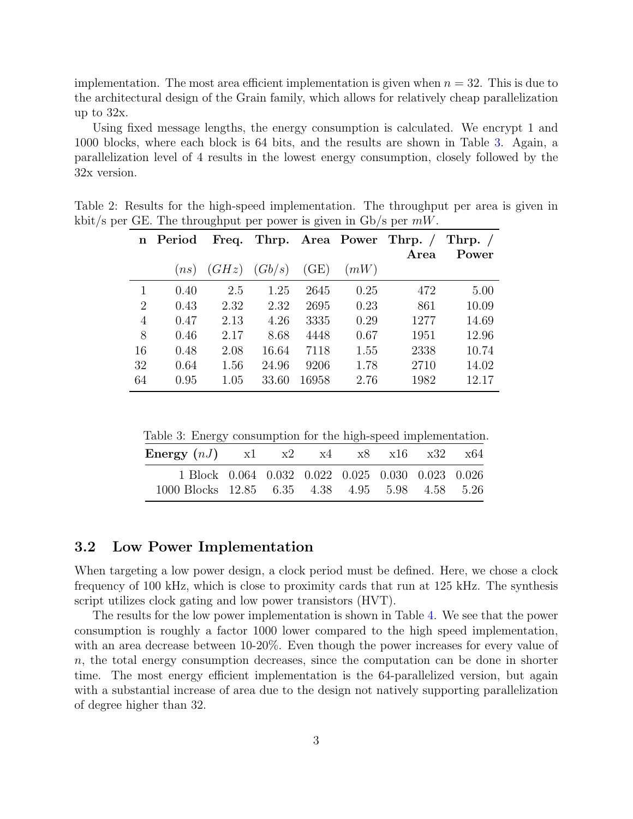implementation. The most area efficient implementation is given when  $n = 32$ . This is due to the architectural design of the Grain family, which allows for relatively cheap parallelization up to 32x.

Using fixed message lengths, the energy consumption is calculated. We encrypt 1 and 1000 blocks, where each block is 64 bits, and the results are shown in Table [3.](#page-2-1) Again, a parallelization level of 4 results in the lowest energy consumption, closely followed by the 32x version.

<span id="page-2-0"></span>

|                | n Period |                         |       |       |      | Freq. Thrp. Area Power Thrp. / | Thrp. $\sqrt{ }$ |
|----------------|----------|-------------------------|-------|-------|------|--------------------------------|------------------|
|                |          |                         |       |       |      | Area                           | Power            |
|                |          | $(ns)$ $(GHz)$ $(Gb/s)$ |       | (GE)  | (mW) |                                |                  |
| 1              | 0.40     | 2.5                     | 1.25  | 2645  | 0.25 | 472                            | 5.00             |
| $\overline{2}$ | 0.43     | 2.32                    | 2.32  | 2695  | 0.23 | 861                            | 10.09            |
| 4              | 0.47     | 2.13                    | 4.26  | 3335  | 0.29 | 1277                           | 14.69            |
| 8              | 0.46     | 2.17                    | 8.68  | 4448  | 0.67 | 1951                           | 12.96            |
| 16             | 0.48     | 2.08                    | 16.64 | 7118  | 1.55 | 2338                           | 10.74            |
| 32             | 0.64     | 1.56                    | 24.96 | 9206  | 1.78 | 2710                           | 14.02            |
| 64             | 0.95     | 1.05                    | 33.60 | 16958 | 2.76 | 1982                           | 12.17            |

Table 2: Results for the high-speed implementation. The throughput per area is given in kbit/s per GE. The throughput per power is given in Gb/s per  $mW$ .

Table 3: Energy consumption for the high-speed implementation.

<span id="page-2-1"></span>

| <b>Energy</b> $(nJ)$ x1 x2 x4 x8 x16 x32 x64      |  |  |  |  |
|---------------------------------------------------|--|--|--|--|
| 1 Block 0.064 0.032 0.022 0.025 0.030 0.023 0.026 |  |  |  |  |
| 1000 Blocks 12.85 6.35 4.38 4.95 5.98 4.58 5.26   |  |  |  |  |

#### 3.2 Low Power Implementation

When targeting a low power design, a clock period must be defined. Here, we chose a clock frequency of 100 kHz, which is close to proximity cards that run at 125 kHz. The synthesis script utilizes clock gating and low power transistors (HVT).

The results for the low power implementation is shown in Table [4.](#page-3-0) We see that the power consumption is roughly a factor 1000 lower compared to the high speed implementation, with an area decrease between 10-20%. Even though the power increases for every value of  $n$ , the total energy consumption decreases, since the computation can be done in shorter time. The most energy efficient implementation is the 64-parallelized version, but again with a substantial increase of area due to the design not natively supporting parallelization of degree higher than 32.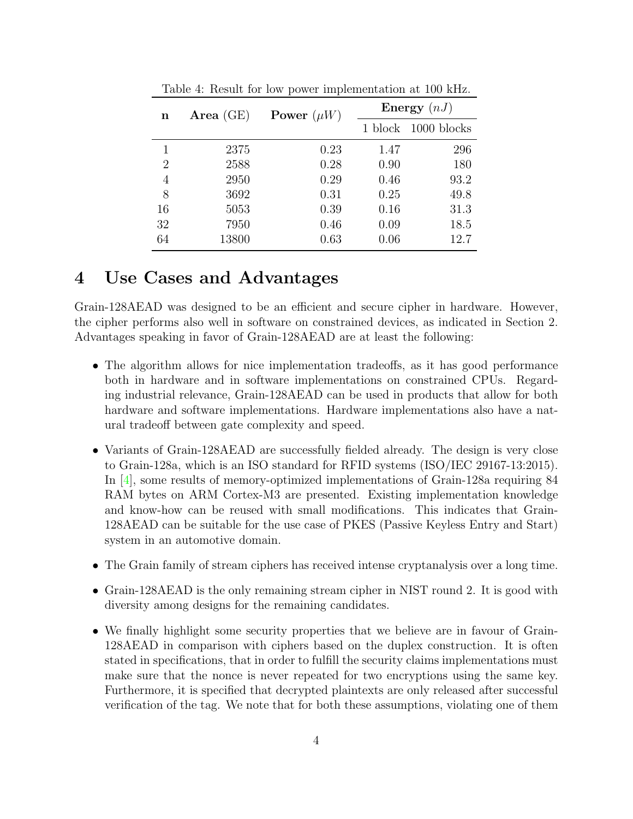| n              | Area $(GE)$ | Power $(\mu W)$ | Energy $(nJ)$ |             |  |
|----------------|-------------|-----------------|---------------|-------------|--|
|                |             |                 | 1 block       | 1000 blocks |  |
|                | 2375        | 0.23            | 1.47          | 296         |  |
| $\overline{2}$ | 2588        | 0.28            | 0.90          | 180         |  |
| 4              | 2950        | 0.29            | 0.46          | 93.2        |  |
| 8              | 3692        | 0.31            | 0.25          | 49.8        |  |
| 16             | 5053        | 0.39            | 0.16          | 31.3        |  |
| 32             | 7950        | 0.46            | 0.09          | 18.5        |  |
| 64             | 13800       | 0.63            | 0.06          | 12.7        |  |

<span id="page-3-0"></span>Table 4: Result for low power implementation at 100 kHz.

## 4 Use Cases and Advantages

Grain-128AEAD was designed to be an efficient and secure cipher in hardware. However, the cipher performs also well in software on constrained devices, as indicated in Section 2. Advantages speaking in favor of Grain-128AEAD are at least the following:

- The algorithm allows for nice implementation tradeoffs, as it has good performance both in hardware and in software implementations on constrained CPUs. Regarding industrial relevance, Grain-128AEAD can be used in products that allow for both hardware and software implementations. Hardware implementations also have a natural tradeoff between gate complexity and speed.
- Variants of Grain-128AEAD are successfully fielded already. The design is very close to Grain-128a, which is an ISO standard for RFID systems (ISO/IEC 29167-13:2015). In [\[4\]](#page-4-3), some results of memory-optimized implementations of Grain-128a requiring 84 RAM bytes on ARM Cortex-M3 are presented. Existing implementation knowledge and know-how can be reused with small modifications. This indicates that Grain-128AEAD can be suitable for the use case of PKES (Passive Keyless Entry and Start) system in an automotive domain.
- The Grain family of stream ciphers has received intense cryptanalysis over a long time.
- Grain-128AEAD is the only remaining stream cipher in NIST round 2. It is good with diversity among designs for the remaining candidates.
- We finally highlight some security properties that we believe are in favour of Grain-128AEAD in comparison with ciphers based on the duplex construction. It is often stated in specifications, that in order to fulfill the security claims implementations must make sure that the nonce is never repeated for two encryptions using the same key. Furthermore, it is specified that decrypted plaintexts are only released after successful verification of the tag. We note that for both these assumptions, violating one of them